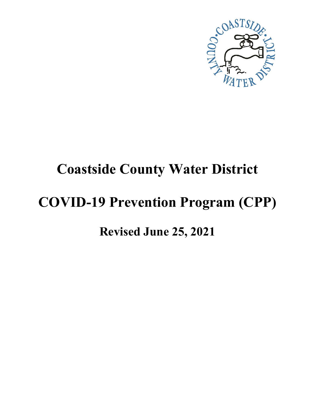

# **Coastside County Water District**

# **COVID-19 Prevention Program (CPP)**

## **Revised June 25, 2021**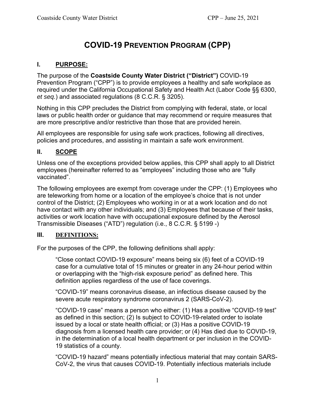## **COVID-19 PREVENTION PROGRAM (CPP)**

#### **I. PURPOSE:**

The purpose of the **Coastside County Water District ("District")** COVID-19 Prevention Program ("CPP") is to provide employees a healthy and safe workplace as required under the California Occupational Safety and Health Act (Labor Code §§ 6300, *et seq.*) and associated regulations (8 C.C.R. § 3205).

Nothing in this CPP precludes the District from complying with federal, state, or local laws or public health order or guidance that may recommend or require measures that are more prescriptive and/or restrictive than those that are provided herein.

All employees are responsible for using safe work practices, following all directives, policies and procedures, and assisting in maintain a safe work environment.

#### **II. SCOPE**

Unless one of the exceptions provided below applies, this CPP shall apply to all District employees (hereinafter referred to as "employees" including those who are "fully vaccinated".

The following employees are exempt from coverage under the CPP: (1) Employees who are teleworking from home or a location of the employee's choice that is not under control of the District; (2) Employees who working in or at a work location and do not have contact with any other individuals; and (3) Employees that because of their tasks, activities or work location have with occupational exposure defined by the Aerosol Transmissible Diseases ("ATD") regulation (i.e., 8 C.C.R. § 5199 -)

#### **III.** DEFINITIONS:

For the purposes of the CPP, the following definitions shall apply:

"Close contact COVID-19 exposure" means being six (6) feet of a COVID-19 case for a cumulative total of 15 minutes or greater in any 24-hour period within or overlapping with the "high-risk exposure period" as defined here. This definition applies regardless of the use of face coverings.

"COVID-19" means coronavirus disease, an infectious disease caused by the severe acute respiratory syndrome coronavirus 2 (SARS-CoV-2).

"COVID-19 case" means a person who either: (1) Has a positive "COVID-19 test" as defined in this section; (2) Is subject to COVID-19-related order to isolate issued by a local or state health official; or (3) Has a positive COVID-19 diagnosis from a licensed health care provider; or (4) Has died due to COVID-19, in the determination of a local health department or per inclusion in the COVID-19 statistics of a county.

"COVID-19 hazard" means potentially infectious material that may contain SARS-CoV-2, the virus that causes COVID-19. Potentially infectious materials include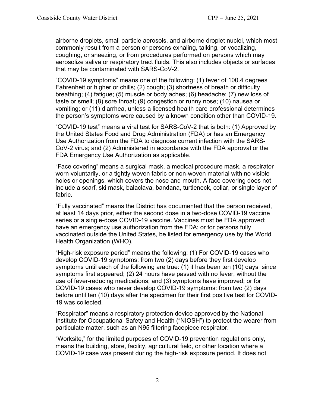airborne droplets, small particle aerosols, and airborne droplet nuclei, which most commonly result from a person or persons exhaling, talking, or vocalizing, coughing, or sneezing, or from procedures performed on persons which may aerosolize saliva or respiratory tract fluids. This also includes objects or surfaces that may be contaminated with SARS-CoV-2.

"COVID-19 symptoms" means one of the following: (1) fever of 100.4 degrees Fahrenheit or higher or chills; (2) cough; (3) shortness of breath or difficulty breathing; (4) fatigue; (5) muscle or body aches; (6) headache; (7) new loss of taste or smell; (8) sore throat; (9) congestion or runny nose; (10) nausea or vomiting; or (11) diarrhea, unless a licensed health care professional determines the person's symptoms were caused by a known condition other than COVID-19.

"COVID-19 test" means a viral test for SARS-CoV-2 that is both: (1) Approved by the United States Food and Drug Administration (FDA) or has an Emergency Use Authorization from the FDA to diagnose current infection with the SARS-CoV-2 virus; and (2) Administered in accordance with the FDA approval or the FDA Emergency Use Authorization as applicable.

"Face covering" means a surgical mask, a medical procedure mask, a respirator worn voluntarily, or a tightly woven fabric or non-woven material with no visible holes or openings, which covers the nose and mouth. A face covering does not include a scarf, ski mask, balaclava, bandana, turtleneck, collar, or single layer of fabric.

"Fully vaccinated" means the District has documented that the person received, at least 14 days prior, either the second dose in a two-dose COVID-19 vaccine series or a single-dose COVID-19 vaccine. Vaccines must be FDA approved; have an emergency use authorization from the FDA; or for persons fully vaccinated outside the United States, be listed for emergency use by the World Health Organization (WHO).

"High-risk exposure period" means the following: (1) For COVID-19 cases who develop COVID-19 symptoms: from two (2) days before they first develop symptoms until each of the following are true: (1) it has been ten (10) days since symptoms first appeared; (2) 24 hours have passed with no fever, without the use of fever-reducing medications; and (3) symptoms have improved; or for COVID-19 cases who never develop COVID-19 symptoms: from two (2) days before until ten (10) days after the specimen for their first positive test for COVID-19 was collected.

"Respirator" means a respiratory protection device approved by the National Institute for Occupational Safety and Health ("NIOSH") to protect the wearer from particulate matter, such as an N95 filtering facepiece respirator.

"Worksite," for the limited purposes of COVID-19 prevention regulations only, means the building, store, facility, agricultural field, or other location where a COVID-19 case was present during the high-risk exposure period. It does not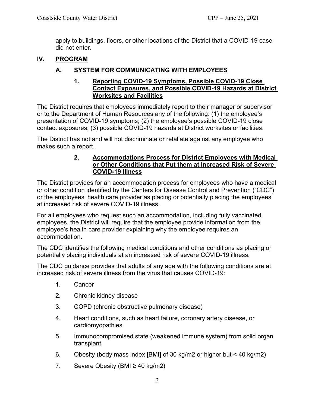apply to buildings, floors, or other locations of the District that a COVID-19 case did not enter.

#### **IV. PROGRAM**

#### **A. SYSTEM FOR COMMUNICATING WITH EMPLOYEES**

#### **1. Reporting COVID-19 Symptoms, Possible COVID-19 Close Contact Exposures, and Possible COVID-19 Hazards at District Worksites and Facilities**

The District requires that employees immediately report to their manager or supervisor or to the Department of Human Resources any of the following: (1) the employee's presentation of COVID-19 symptoms; (2) the employee's possible COVID-19 close contact exposures; (3) possible COVID-19 hazards at District worksites or facilities.

The District has not and will not discriminate or retaliate against any employee who makes such a report.

#### **2. Accommodations Process for District Employees with Medical or Other Conditions that Put them at Increased Risk of Severe COVID-19 Illness**

The District provides for an accommodation process for employees who have a medical or other condition identified by the Centers for Disease Control and Prevention ("CDC") or the employees' health care provider as placing or potentially placing the employees at increased risk of severe COVID-19 illness.

For all employees who request such an accommodation, including fully vaccinated employees, the District will require that the employee provide information from the employee's health care provider explaining why the employee requires an accommodation.

The CDC identifies the following medical conditions and other conditions as placing or potentially placing individuals at an increased risk of severe COVID-19 illness.

The CDC guidance provides that adults of any age with the following conditions are at increased risk of severe illness from the virus that causes COVID-19:

- 1. Cancer
- 2. Chronic kidney disease
- 3. COPD (chronic obstructive pulmonary disease)
- 4. Heart conditions, such as heart failure, coronary artery disease, or cardiomyopathies
- 5. Immunocompromised state (weakened immune system) from solid organ transplant
- 6. Obesity (body mass index [BMI] of 30 kg/m2 or higher but < 40 kg/m2)
- 7. Severe Obesity (BMI ≥ 40 kg/m2)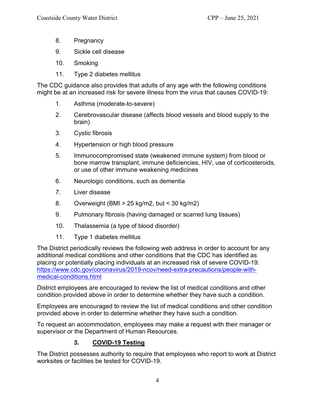- 8. Pregnancy
- 9. Sickle cell disease
- 10. Smoking
- 11. Type 2 diabetes mellitus

The CDC guidance also provides that adults of any age with the following conditions might be at an increased risk for severe illness from the virus that causes COVID-19:

- 1. Asthma (moderate-to-severe)
- 2. Cerebrovascular disease (affects blood vessels and blood supply to the brain)
- 3. Cystic fibrosis
- 4. Hypertension or high blood pressure
- 5. Immunocompromised state (weakened immune system) from blood or bone marrow transplant, immune deficiencies, HIV, use of corticosteroids, or use of other immune weakening medicines
- 6. Neurologic conditions, such as dementia
- 7. Liver disease
- 8. Overweight (BMI > 25 kg/m2, but < 30 kg/m2)
- 9. Pulmonary fibrosis (having damaged or scarred lung tissues)
- 10. Thalassemia (a type of blood disorder)
- 11. Type 1 diabetes mellitus

The District periodically reviews the following web address in order to account for any additional medical conditions and other conditions that the CDC has identified as placing or potentially placing individuals at an increased risk of severe COVID-19: https://www.cdc.gov/coronavirus/2019-ncov/need-extra-precautions/people-withmedical-conditions.html

District employees are encouraged to review the list of medical conditions and other condition provided above in order to determine whether they have such a condition.

Employees are encouraged to review the list of medical conditions and other condition provided above in order to determine whether they have such a condition.

To request an accommodation, employees may make a request with their manager or supervisor or the Department of Human Resources.

## **3. COVID-19 Testing**

The District possesses authority to require that employees who report to work at District worksites or facilities be tested for COVID-19.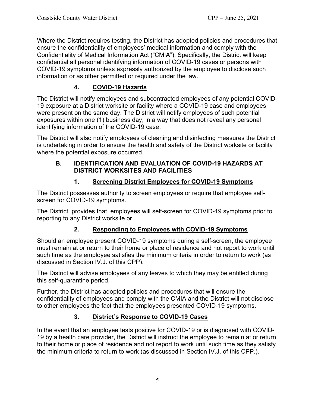Where the District requires testing, the District has adopted policies and procedures that ensure the confidentiality of employees' medical information and comply with the Confidentiality of Medical Information Act ("CMIA"). Specifically, the District will keep confidential all personal identifying information of COVID-19 cases or persons with COVID-19 symptoms unless expressly authorized by the employee to disclose such information or as other permitted or required under the law.

## **4. COVID-19 Hazards**

The District will notify employees and subcontracted employees of any potential COVID-19 exposure at a District worksite or facility where a COVID-19 case and employees were present on the same day. The District will notify employees of such potential exposures within one (1) business day, in a way that does not reveal any personal identifying information of the COVID-19 case.

The District will also notify employees of cleaning and disinfecting measures the District is undertaking in order to ensure the health and safety of the District worksite or facility where the potential exposure occurred.

#### **B. IDENTIFICATION AND EVALUATION OF COVID-19 HAZARDS AT DISTRICT WORKSITES AND FACILITIES**

## **1. Screening District Employees for COVID-19 Symptoms**

The District possesses authority to screen employees or require that employee selfscreen for COVID-19 symptoms.

The District provides that employees will self-screen for COVID-19 symptoms prior to reporting to any District worksite or.

## **2. Responding to Employees with COVID-19 Symptoms**

Should an employee present COVID-19 symptoms during a self-screen**,** the employee must remain at or return to their home or place of residence and not report to work until such time as the employee satisfies the minimum criteria in order to return to work (as discussed in Section IV.J. of this CPP).

The District will advise employees of any leaves to which they may be entitled during this self-quarantine period.

Further, the District has adopted policies and procedures that will ensure the confidentiality of employees and comply with the CMIA and the District will not disclose to other employees the fact that the employees presented COVID-19 symptoms.

## **3. District's Response to COVID-19 Cases**

In the event that an employee tests positive for COVID-19 or is diagnosed with COVID-19 by a health care provider, the District will instruct the employee to remain at or return to their home or place of residence and not report to work until such time as they satisfy the minimum criteria to return to work (as discussed in Section IV.J. of this CPP.).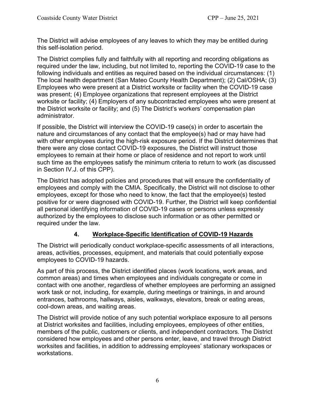The District will advise employees of any leaves to which they may be entitled during this self-isolation period.

The District complies fully and faithfully with all reporting and recording obligations as required under the law, including, but not limited to, reporting the COVID-19 case to the following individuals and entities as required based on the individual circumstances: (1) The local health department (San Mateo County Health Department); (2) Cal/OSHA; (3) Employees who were present at a District worksite or facility when the COVID-19 case was present; (4) Employee organizations that represent employees at the District worksite or facility; (4) Employers of any subcontracted employees who were present at the District worksite or facility; and (5) The District's workers' compensation plan administrator.

If possible, the District will interview the COVID-19 case(s) in order to ascertain the nature and circumstances of any contact that the employee(s) had or may have had with other employees during the high-risk exposure period. If the District determines that there were any close contact COVID-19 exposures, the District will instruct those employees to remain at their home or place of residence and not report to work until such time as the employees satisfy the minimum criteria to return to work (as discussed in Section IV.J. of this CPP).

The District has adopted policies and procedures that will ensure the confidentiality of employees and comply with the CMIA. Specifically, the District will not disclose to other employees, except for those who need to know, the fact that the employee(s) tested positive for or were diagnosed with COVID-19. Further, the District will keep confidential all personal identifying information of COVID-19 cases or persons unless expressly authorized by the employees to disclose such information or as other permitted or required under the law.

## **4. Workplace-Specific Identification of COVID-19 Hazards**

The District will periodically conduct workplace-specific assessments of all interactions, areas, activities, processes, equipment, and materials that could potentially expose employees to COVID-19 hazards.

As part of this process, the District identified places (work locations, work areas, and common areas) and times when employees and individuals congregate or come in contact with one another, regardless of whether employees are performing an assigned work task or not, including, for example, during meetings or trainings, in and around entrances, bathrooms, hallways, aisles, walkways, elevators, break or eating areas, cool-down areas, and waiting areas.

The District will provide notice of any such potential workplace exposure to all persons at District worksites and facilities, including employees, employees of other entities, members of the public, customers or clients, and independent contractors. The District considered how employees and other persons enter, leave, and travel through District worksites and facilities, in addition to addressing employees' stationary workspaces or workstations.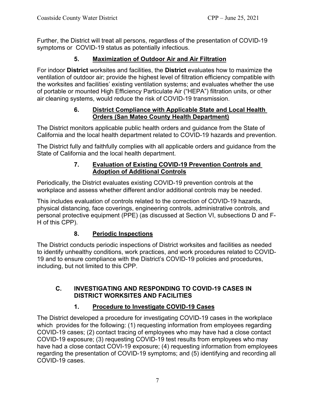Further, the District will treat all persons, regardless of the presentation of COVID-19 symptoms or COVID-19 status as potentially infectious.

## **5. Maximization of Outdoor Air and Air Filtration**

For indoor **District** worksites and facilities, the **District** evaluates how to maximize the ventilation of outdoor air; provide the highest level of filtration efficiency compatible with the worksites and facilities' existing ventilation systems; and evaluates whether the use of portable or mounted High Efficiency Particulate Air ("HEPA") filtration units, or other air cleaning systems, would reduce the risk of COVID-19 transmission.

## **6. District Compliance with Applicable State and Local Health Orders (San Mateo County Health Department)**

The District monitors applicable public health orders and guidance from the State of California and the local health department related to COVID-19 hazards and prevention.

The District fully and faithfully complies with all applicable orders and guidance from the State of California and the local health department.

#### **7. Evaluation of Existing COVID-19 Prevention Controls and Adoption of Additional Controls**

Periodically, the District evaluates existing COVID-19 prevention controls at the workplace and assess whether different and/or additional controls may be needed.

This includes evaluation of controls related to the correction of COVID-19 hazards, physical distancing, face coverings, engineering controls, administrative controls, and personal protective equipment (PPE) (as discussed at Section VI, subsections D and F-H of this CPP).

## **8. Periodic Inspections**

The District conducts periodic inspections of District worksites and facilities as needed to identify unhealthy conditions, work practices, and work procedures related to COVID-19 and to ensure compliance with the District's COVID-19 policies and procedures, including, but not limited to this CPP.

#### **C. INVESTIGATING AND RESPONDING TO COVID-19 CASES IN DISTRICT WORKSITES AND FACILITIES**

## **1. Procedure to Investigate COVID-19 Cases**

The District developed a procedure for investigating COVID-19 cases in the workplace which provides for the following: (1) requesting information from employees regarding COVID-19 cases; (2) contact tracing of employees who may have had a close contact COVID-19 exposure; (3) requesting COVID-19 test results from employees who may have had a close contact COVI-19 exposure; (4) requesting information from employees regarding the presentation of COVID-19 symptoms; and (5) identifying and recording all COVID-19 cases.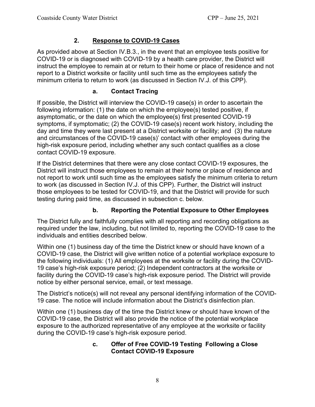#### **2. Response to COVID-19 Cases**

As provided above at Section IV.B.3., in the event that an employee tests positive for COVID-19 or is diagnosed with COVID-19 by a health care provider, the District will instruct the employee to remain at or return to their home or place of residence and not report to a District worksite or facility until such time as the employees satisfy the minimum criteria to return to work (as discussed in Section IV.J. of this CPP).

#### **a. Contact Tracing**

If possible, the District will interview the COVID-19 case(s) in order to ascertain the following information: (1) the date on which the employee(s) tested positive, if asymptomatic, or the date on which the employee(s) first presented COVID-19 symptoms, if symptomatic; (2) the COVID-19 case(s) recent work history, including the day and time they were last present at a District worksite or facility; and (3) the nature and circumstances of the COVID-19 case(s)' contact with other employees during the high-risk exposure period, including whether any such contact qualifies as a close contact COVID-19 exposure.

If the District determines that there were any close contact COVID-19 exposures, the District will instruct those employees to remain at their home or place of residence and not report to work until such time as the employees satisfy the minimum criteria to return to work (as discussed in Section IV.J. of this CPP). Further, the District will instruct those employees to be tested for COVID-19, and that the District will provide for such testing during paid time, as discussed in subsection c. below.

## **b. Reporting the Potential Exposure to Other Employees**

The District fully and faithfully complies with all reporting and recording obligations as required under the law, including, but not limited to, reporting the COVID-19 case to the individuals and entities described below.

Within one (1) business day of the time the District knew or should have known of a COVID-19 case, the District will give written notice of a potential workplace exposure to the following individuals: (1) All employees at the worksite or facility during the COVID-19 case's high-risk exposure period; (2) Independent contractors at the worksite or facility during the COVID-19 case's high-risk exposure period. The District will provide notice by either personal service, email, or text message.

The District's notice(s) will not reveal any personal identifying information of the COVID-19 case. The notice will include information about the District's disinfection plan.

Within one (1) business day of the time the District knew or should have known of the COVID-19 case, the District will also provide the notice of the potential workplace exposure to the authorized representative of any employee at the worksite or facility during the COVID-19 case's high-risk exposure period.

#### **c. Offer of Free COVID-19 Testing Following a Close Contact COVID-19 Exposure**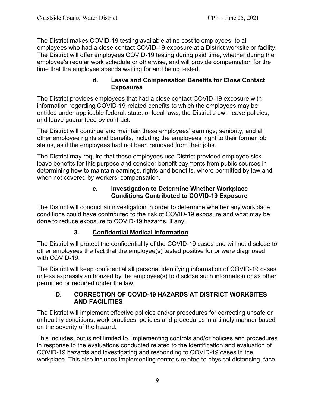The District makes COVID-19 testing available at no cost to employees to all employees who had a close contact COVID-19 exposure at a District worksite or facility. The District will offer employees COVID-19 testing during paid time, whether during the employee's regular work schedule or otherwise, and will provide compensation for the time that the employee spends waiting for and being tested.

#### **d. Leave and Compensation Benefits for Close Contact Exposures**

The District provides employees that had a close contact COVID-19 exposure with information regarding COVID-19-related benefits to which the employees may be entitled under applicable federal, state, or local laws, the District's own leave policies, and leave guaranteed by contract.

The District will continue and maintain these employees' earnings, seniority, and all other employee rights and benefits, including the employees' right to their former job status, as if the employees had not been removed from their jobs.

The District may require that these employees use District provided employee sick leave benefits for this purpose and consider benefit payments from public sources in determining how to maintain earnings, rights and benefits, where permitted by law and when not covered by workers' compensation.

#### **e. Investigation to Determine Whether Workplace Conditions Contributed to COVID-19 Exposure**

The District will conduct an investigation in order to determine whether any workplace conditions could have contributed to the risk of COVID-19 exposure and what may be done to reduce exposure to COVID-19 hazards, if any.

## **3. Confidential Medical Information**

The District will protect the confidentiality of the COVID-19 cases and will not disclose to other employees the fact that the employee(s) tested positive for or were diagnosed with COVID-19.

The District will keep confidential all personal identifying information of COVID-19 cases unless expressly authorized by the employee(s) to disclose such information or as other permitted or required under the law.

#### **D. CORRECTION OF COVID-19 HAZARDS AT DISTRICT WORKSITES AND FACILITIES**

The District will implement effective policies and/or procedures for correcting unsafe or unhealthy conditions, work practices, policies and procedures in a timely manner based on the severity of the hazard.

This includes, but is not limited to, implementing controls and/or policies and procedures in response to the evaluations conducted related to the identification and evaluation of COVID-19 hazards and investigating and responding to COVID-19 cases in the workplace. This also includes implementing controls related to physical distancing, face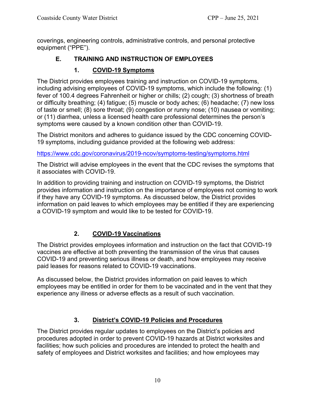coverings, engineering controls, administrative controls, and personal protective equipment ("PPE").

## **E. TRAINING AND INSTRUCTION OF EMPLOYEES**

#### **1. COVID-19 Symptoms**

The District provides employees training and instruction on COVID-19 symptoms, including advising employees of COVID-19 symptoms, which include the following: (1) fever of 100.4 degrees Fahrenheit or higher or chills; (2) cough; (3) shortness of breath or difficulty breathing; (4) fatigue; (5) muscle or body aches; (6) headache; (7) new loss of taste or smell; (8) sore throat; (9) congestion or runny nose; (10) nausea or vomiting; or (11) diarrhea, unless a licensed health care professional determines the person's symptoms were caused by a known condition other than COVID-19.

The District monitors and adheres to guidance issued by the CDC concerning COVID-19 symptoms, including guidance provided at the following web address:

https://www.cdc.gov/coronavirus/2019-ncov/symptoms-testing/symptoms.html

The District will advise employees in the event that the CDC revises the symptoms that it associates with COVID-19.

In addition to providing training and instruction on COVID-19 symptoms, the District provides information and instruction on the importance of employees not coming to work if they have any COVID-19 symptoms. As discussed below, the District provides information on paid leaves to which employees may be entitled if they are experiencing a COVID-19 symptom and would like to be tested for COVID-19.

## **2. COVID-19 Vaccinations**

The District provides employees information and instruction on the fact that COVID-19 vaccines are effective at both preventing the transmission of the virus that causes COVID-19 and preventing serious illness or death, and how employees may receive paid leases for reasons related to COVID-19 vaccinations.

As discussed below, the District provides information on paid leaves to which employees may be entitled in order for them to be vaccinated and in the vent that they experience any illness or adverse effects as a result of such vaccination.

## **3. District's COVID-19 Policies and Procedures**

The District provides regular updates to employees on the District's policies and procedures adopted in order to prevent COVID-19 hazards at District worksites and facilities; how such policies and procedures are intended to protect the health and safety of employees and District worksites and facilities; and how employees may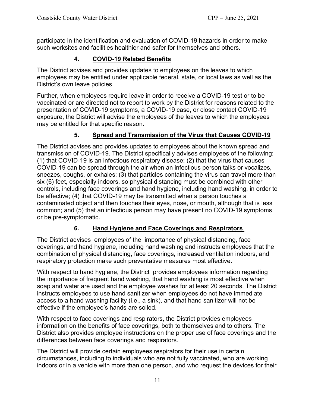participate in the identification and evaluation of COVID-19 hazards in order to make such worksites and facilities healthier and safer for themselves and others.

#### **4. COVID-19 Related Benefits**

The District advises and provides updates to employees on the leaves to which employees may be entitled under applicable federal, state, or local laws as well as the District's own leave policies

Further, when employees require leave in order to receive a COVID-19 test or to be vaccinated or are directed not to report to work by the District for reasons related to the presentation of COVID-19 symptoms, a COVID-19 case, or close contact COVID-19 exposure, the District will advise the employees of the leaves to which the employees may be entitled for that specific reason.

#### **5. Spread and Transmission of the Virus that Causes COVID-19**

The District advises and provides updates to employees about the known spread and transmission of COVID-19. The District specifically advises employees of the following: (1) that COVID-19 is an infectious respiratory disease; (2) that the virus that causes COVID-19 can be spread through the air when an infectious person talks or vocalizes, sneezes, coughs, or exhales; (3) that particles containing the virus can travel more than six (6) feet, especially indoors, so physical distancing must be combined with other controls, including face coverings and hand hygiene, including hand washing, in order to be effective; (4) that COVID-19 may be transmitted when a person touches a contaminated object and then touches their eyes, nose, or mouth, although that is less common; and (5) that an infectious person may have present no COVID-19 symptoms or be pre-symptomatic.

#### **6. Hand Hygiene and Face Coverings and Respirators**

The District advises employees of the importance of physical distancing, face coverings, and hand hygiene, including hand washing and instructs employees that the combination of physical distancing, face coverings, increased ventilation indoors, and respiratory protection make such preventative measures most effective.

With respect to hand hygiene, the District provides employees information regarding the importance of frequent hand washing, that hand washing is most effective when soap and water are used and the employee washes for at least 20 seconds. The District instructs employees to use hand sanitizer when employees do not have immediate access to a hand washing facility (i.e., a sink), and that hand sanitizer will not be effective if the employee's hands are soiled.

With respect to face coverings and respirators, the District provides employees information on the benefits of face coverings, both to themselves and to others. The District also provides employee instructions on the proper use of face coverings and the differences between face coverings and respirators.

The District will provide certain employees respirators for their use in certain circumstances, including to individuals who are not fully vaccinated, who are working indoors or in a vehicle with more than one person, and who request the devices for their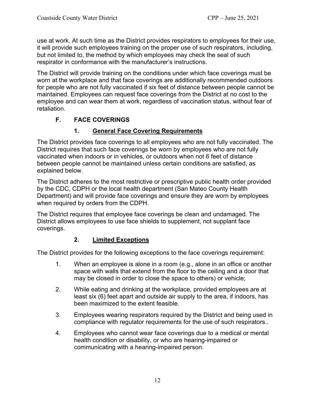use at work. At such time as the District provides respirators to employees for their use, it will provide such employees training on the proper use of such respirators, including, but not limited to, the method by which employees may check the seal of such respirator in conformance with the manufacturer's instructions.

The District will provide training on the conditions under which face coverings must be worn at the workplace and that face coverings are additionally recommended outdoors for people who are not fully vaccinated if six feet of distance between people cannot be maintained. Employees can request face coverings from the District at no cost to the employee and can wear them at work, regardless of vaccination status, without fear of retaliation.

## **F. FACE COVERINGS**

#### **1. General Face Covering Requirements**

The District provides face coverings to all employees who are not fully vaccinated. The District requires that such face coverings be worn by employees who are not fully vaccinated when indoors or in vehicles, or outdoors when not 6 feet of distance between people cannot be maintained unless certain conditions are satisfied, as explained below.

The District adheres to the most restrictive or prescriptive public health order provided by the CDC, CDPH or the local health department (San Mateo County Health Department) and will provide face coverings and ensure they are worn by employees when required by orders from the CDPH.

The District requires that employee face coverings be clean and undamaged. The District allows employees to use face shields to supplement, not supplant face coverings.

#### **2. Limited Exceptions**

The District provides for the following exceptions to the face coverings requirement:

- 1. When an employee is alone in a room (e.g., alone in an office or another space with walls that extend from the floor to the ceiling and a door that may be closed in order to close the space to others) or vehicle;
- 2. While eating and drinking at the workplace, provided employees are at least six (6) feet apart and outside air supply to the area, if indoors, has been maximized to the extent feasible.
- 3. Employees wearing respirators required by the District and being used in compliance with regulator requirements for the use of such respirators..
- 4. Employees who cannot wear face coverings due to a medical or mental health condition or disability, or who are hearing-impaired or communicating with a hearing-impaired person.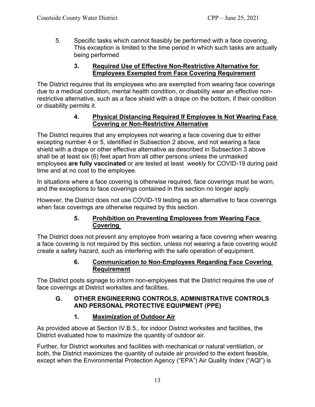5. Specific tasks which cannot feasibly be performed with a face covering. This exception is limited to the time period in which such tasks are actually being performed

#### **3. Required Use of Effective Non-Restrictive Alternative for Employees Exempted from Face Covering Requirement**

The District requires that its employees who are exempted from wearing face coverings due to a medical condition, mental health condition, or disability wear an effective nonrestrictive alternative, such as a face shield with a drape on the bottom, if their condition or disability permits it.

#### **4. Physical Distancing Required If Employee Is Not Wearing Face Covering or Non-Restrictive Alternative**

The District requires that any employees not wearing a face covering due to either excepting number 4 or 5, identified in Subsection 2 above, and not wearing a face shield with a drape or other effective alternative as described in Subsection 3 above shall be at least six (6) feet apart from all other persons unless the unmasked employees **are fully vaccinated** or are tested at least weekly for COVID-19 during paid time and at no cost to the employee.

In situations where a face covering is otherwise required, face coverings must be worn, and the exceptions to face coverings contained in this section no longer apply.

However, the District does not use COVID-19 testing as an alternative to face coverings when face coverings are otherwise required by this section.

#### **5. Prohibition on Preventing Employees from Wearing Face Covering**

The District does not prevent any employee from wearing a face covering when wearing a face covering is not required by this section, unless not wearing a face covering would create a safety hazard, such as interfering with the safe operation of equipment.

#### **6. Communication to Non-Employees Regarding Face Covering Requirement**

The District posts signage to inform non-employees that the District requires the use of face coverings at District worksites and facilities.

#### **G. OTHER ENGINEERING CONTROLS, ADMINISTRATIVE CONTROLS AND PERSONAL PROTECTIVE EQUIPMENT (PPE)**

## **1. Maximization of Outdoor Air**

As provided above at Section IV.B.5., for indoor District worksites and facilities, the District evaluated how to maximize the quantity of outdoor air.

Further, for District worksites and facilities with mechanical or natural ventilation, or both, the District maximizes the quantity of outside air provided to the extent feasible, except when the Environmental Protection Agency ("EPA") Air Quality Index ("AQI") is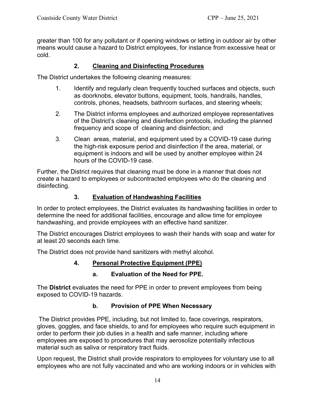greater than 100 for any pollutant or if opening windows or letting in outdoor air by other means would cause a hazard to District employees, for instance from excessive heat or cold.

#### **2. Cleaning and Disinfecting Procedures**

The District undertakes the following cleaning measures:

- 1. Identify and regularly clean frequently touched surfaces and objects, such as doorknobs, elevator buttons, equipment, tools, handrails, handles, controls, phones, headsets, bathroom surfaces, and steering wheels;
- 2. The District informs employees and authorized employee representatives of the District's cleaning and disinfection protocols, including the planned frequency and scope of cleaning and disinfection; and
- 3. Clean areas, material, and equipment used by a COVID-19 case during the high-risk exposure period and disinfection if the area, material, or equipment is indoors and will be used by another employee within 24 hours of the COVID-19 case.

Further, the District requires that cleaning must be done in a manner that does not create a hazard to employees or subcontracted employees who do the cleaning and disinfecting.

#### **3. Evaluation of Handwashing Facilities**

In order to protect employees, the District evaluates its handwashing facilities in order to determine the need for additional facilities, encourage and allow time for employee handwashing, and provide employees with an effective hand sanitizer.

The District encourages District employees to wash their hands with soap and water for at least 20 seconds each time.

The District does not provide hand sanitizers with methyl alcohol.

#### **4. Personal Protective Equipment (PPE)**

#### **a. Evaluation of the Need for PPE.**

The **District** evaluates the need for PPE in order to prevent employees from being exposed to COVID-19 hazards.

#### **b. Provision of PPE When Necessary**

 The District provides PPE, including, but not limited to, face coverings, respirators, gloves, goggles, and face shields, to and for employees who require such equipment in order to perform their job duties in a health and safe manner, including where employees are exposed to procedures that may aerosolize potentially infectious material such as saliva or respiratory tract fluids.

Upon request, the District shall provide respirators to employees for voluntary use to all employees who are not fully vaccinated and who are working indoors or in vehicles with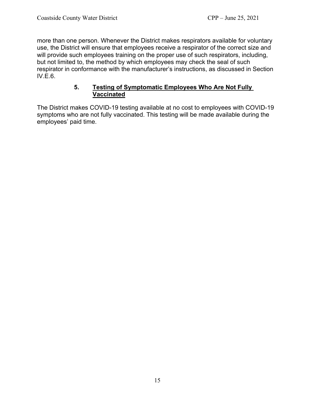more than one person. Whenever the District makes respirators available for voluntary use, the District will ensure that employees receive a respirator of the correct size and will provide such employees training on the proper use of such respirators, including, but not limited to, the method by which employees may check the seal of such respirator in conformance with the manufacturer's instructions, as discussed in Section IV.E.6.

#### **5. Testing of Symptomatic Employees Who Are Not Fully Vaccinated**

The District makes COVID-19 testing available at no cost to employees with COVID-19 symptoms who are not fully vaccinated. This testing will be made available during the employees' paid time.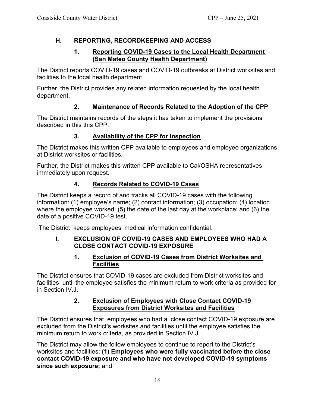#### **H. REPORTING, RECORDKEEPING AND ACCESS**

#### **1. Reporting COVID-19 Cases to the Local Health Department (San Mateo County Health Department)**

The District reports COVID-19 cases and COVID-19 outbreaks at District worksites and facilities to the local health department.

Further, the District provides any related information requested by the local health department.

#### **2. Maintenance of Records Related to the Adoption of the CPP**

The District maintains records of the steps it has taken to implement the provisions described in this this CPP.

#### **3. Availability of the CPP for Inspection**

The District makes this written CPP available to employees and employee organizations at District worksites or facilities.

Further, the District makes this written CPP available to Cal/OSHA representatives immediately upon request.

## **4. Records Related to COVID-19 Cases**

The District keeps a record of and tracks all COVID-19 cases with the following information: (1) employee's name; (2) contact information; (3) occupation; (4) location where the employee worked: (5) the date of the last day at the workplace; and (6) the date of a positive COVID-19 test.

The District keeps employees' medical information confidential.

#### **I. EXCLUSION OF COVID-19 CASES AND EMPLOYEES WHO HAD A CLOSE CONTACT COVID-19 EXPOSURE**

#### **1. Exclusion of COVID-19 Cases from District Worksites and Facilities**

The District ensures that COVID-19 cases are excluded from District worksites and facilities until the employee satisfies the minimum return to work criteria as provided for in Section IV.J.

#### **2. Exclusion of Employees with Close Contact COVID-19 Exposures from District Worksites and Facilities**

The District ensures that employees who had a close contact COVID-19 exposure are excluded from the District's worksites and facilities until the employee satisfies the minimum return to work criteria, as provided in Section IV.J.

The District may allow the follow employees to continue to report to the District's worksites and facilities: **(1) Employees who were fully vaccinated before the close contact COVID-19 exposure and who have not developed COVID-19 symptoms since such exposure;** and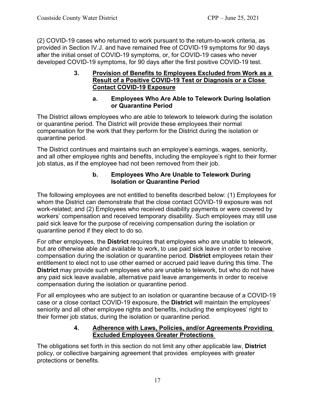(2) COVID-19 cases who returned to work pursuant to the return-to-work criteria, as provided in Section IV.J. and have remained free of COVID-19 symptoms for 90 days after the initial onset of COVID-19 symptoms, or, for COVID-19 cases who never developed COVID-19 symptoms, for 90 days after the first positive COVID-19 test.

#### **3. Provision of Benefits to Employees Excluded from Work as a Result of a Positive COVID-19 Test or Diagnosis or a Close Contact COVID-19 Exposure**

#### **a. Employees Who Are Able to Telework During Isolation or Quarantine Period**

The District allows employees who are able to telework to telework during the isolation or quarantine period. The District will provide these employees their normal compensation for the work that they perform for the District during the isolation or quarantine period.

The District continues and maintains such an employee's earnings, wages, seniority, and all other employee rights and benefits, including the employee's right to their former job status, as if the employee had not been removed from their job.

#### **b. Employees Who Are Unable to Telework During Isolation or Quarantine Period**

The following employees are not entitled to benefits described below: (1) Employees for whom the District can demonstrate that the close contact COVID-19 exposure was not work-related; and (2) Employees who received disability payments or were covered by workers' compensation and received temporary disability. Such employees may still use paid sick leave for the purpose of receiving compensation during the isolation or quarantine period if they elect to do so.

For other employees, the **District** requires that employees who are unable to telework, but are otherwise able and available to work, to use paid sick leave in order to receive compensation during the isolation or quarantine period. **District** employees retain their entitlement to elect not to use other earned or accrued paid leave during this time. The **District** may provide such employees who are unable to telework, but who do not have any paid sick leave available, alternative paid leave arrangements in order to receive compensation during the isolation or quarantine period.

For all employees who are subject to an isolation or quarantine because of a COVID-19 case or a close contact COVID-19 exposure, the **District** will maintain the employees' seniority and all other employee rights and benefits, including the employees' right to their former job status, during the isolation or quarantine period.

#### **4. Adherence with Laws, Policies, and/or Agreements Providing Excluded Employees Greater Protections**

The obligations set forth in this section do not limit any other applicable law, **District**  policy, or collective bargaining agreement that provides employees with greater protections or benefits.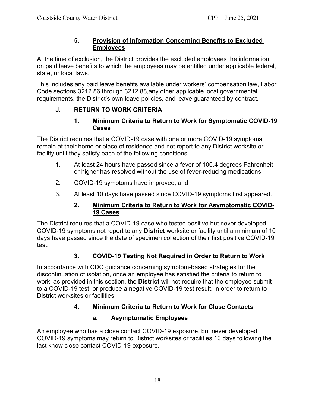#### **5. Provision of Information Concerning Benefits to Excluded Employees**

At the time of exclusion, the District provides the excluded employees the information on paid leave benefits to which the employees may be entitled under applicable federal, state, or local laws.

This includes any paid leave benefits available under workers' compensation law, Labor Code sections 3212.86 through 3212.88,any other applicable local governmental requirements, the District's own leave policies, and leave guaranteed by contract.

## **J. RETURN TO WORK CRITERIA**

#### **1. Minimum Criteria to Return to Work for Symptomatic COVID-19 Cases**

The District requires that a COVID-19 case with one or more COVID-19 symptoms remain at their home or place of residence and not report to any District worksite or facility until they satisfy each of the following conditions:

- 1. At least 24 hours have passed since a fever of 100.4 degrees Fahrenheit or higher has resolved without the use of fever-reducing medications;
- 2. COVID-19 symptoms have improved; and
- 3. At least 10 days have passed since COVID-19 symptoms first appeared.

#### **2. Minimum Criteria to Return to Work for Asymptomatic COVID-19 Cases**

The District requires that a COVID-19 case who tested positive but never developed COVID-19 symptoms not report to any **District** worksite or facility until a minimum of 10 days have passed since the date of specimen collection of their first positive COVID-19 test.

## **3. COVID-19 Testing Not Required in Order to Return to Work**

In accordance with CDC guidance concerning symptom-based strategies for the discontinuation of isolation, once an employee has satisfied the criteria to return to work, as provided in this section, the **District** will not require that the employee submit to a COVID-19 test, or produce a negative COVID-19 test result, in order to return to District worksites or facilities.

## **4. Minimum Criteria to Return to Work for Close Contacts**

## **a. Asymptomatic Employees**

An employee who has a close contact COVID-19 exposure, but never developed COVID-19 symptoms may return to District worksites or facilities 10 days following the last know close contact COVID-19 exposure.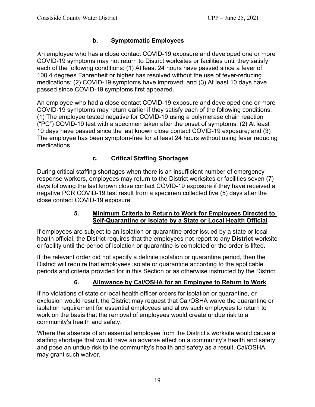#### **b. Symptomatic Employees**

An employee who has a close contact COVID-19 exposure and developed one or more COVID-19 symptoms may not return to District worksites or facilities until they satisfy each of the following conditions: (1) At least 24 hours have passed since a fever of 100.4 degrees Fahrenheit or higher has resolved without the use of fever-reducing medications; (2) COVID-19 symptoms have improved; and (3) At least 10 days have passed since COVID-19 symptoms first appeared.

An employee who had a close contact COVID-19 exposure and developed one or more COVID-19 symptoms may return earlier if they satisfy each of the following conditions: (1) The employee tested negative for COVID-19 using a polymerase chain reaction ("PC") COVID-19 test with a specimen taken after the onset of symptoms; (2) At least 10 days have passed since the last known close contact COVID-19 exposure; and (3) The employee has been symptom-free for at least 24 hours without using fever reducing medications.

#### **c. Critical Staffing Shortages**

During critical staffing shortages when there is an insufficient number of emergency response workers, employees may return to the District worksites or facilities seven (7) days following the last known close contact COVID-19 exposure if they have received a negative PCR COVID-19 test result from a specimen collected five (5) days after the close contact COVID-19 exposure.

#### **5. Minimum Criteria to Return to Work for Employees Directed to Self-Quarantine or Isolate by a State or Local Health Official**

If employees are subject to an isolation or quarantine order issued by a state or local health official, the District requires that the employees not report to any **District** worksite or facility until the period of isolation or quarantine is completed or the order is lifted.

If the relevant order did not specify a definite isolation or quarantine period, then the District will require that employees isolate or quarantine according to the applicable periods and criteria provided for in this Section or as otherwise instructed by the District.

## **6. Allowance by Cal/OSHA for an Employee to Return to Work**

If no violations of state or local health officer orders for isolation or quarantine, or exclusion would result, the District may request that Cal/OSHA waive the quarantine or isolation requirement for essential employees and allow such employees to return to work on the basis that the removal of employees would create undue risk to a community's health and safety.

Where the absence of an essential employee from the District's worksite would cause a staffing shortage that would have an adverse effect on a community's health and safety and pose an undue risk to the community's health and safety as a result, Cal/OSHA may grant such waiver.